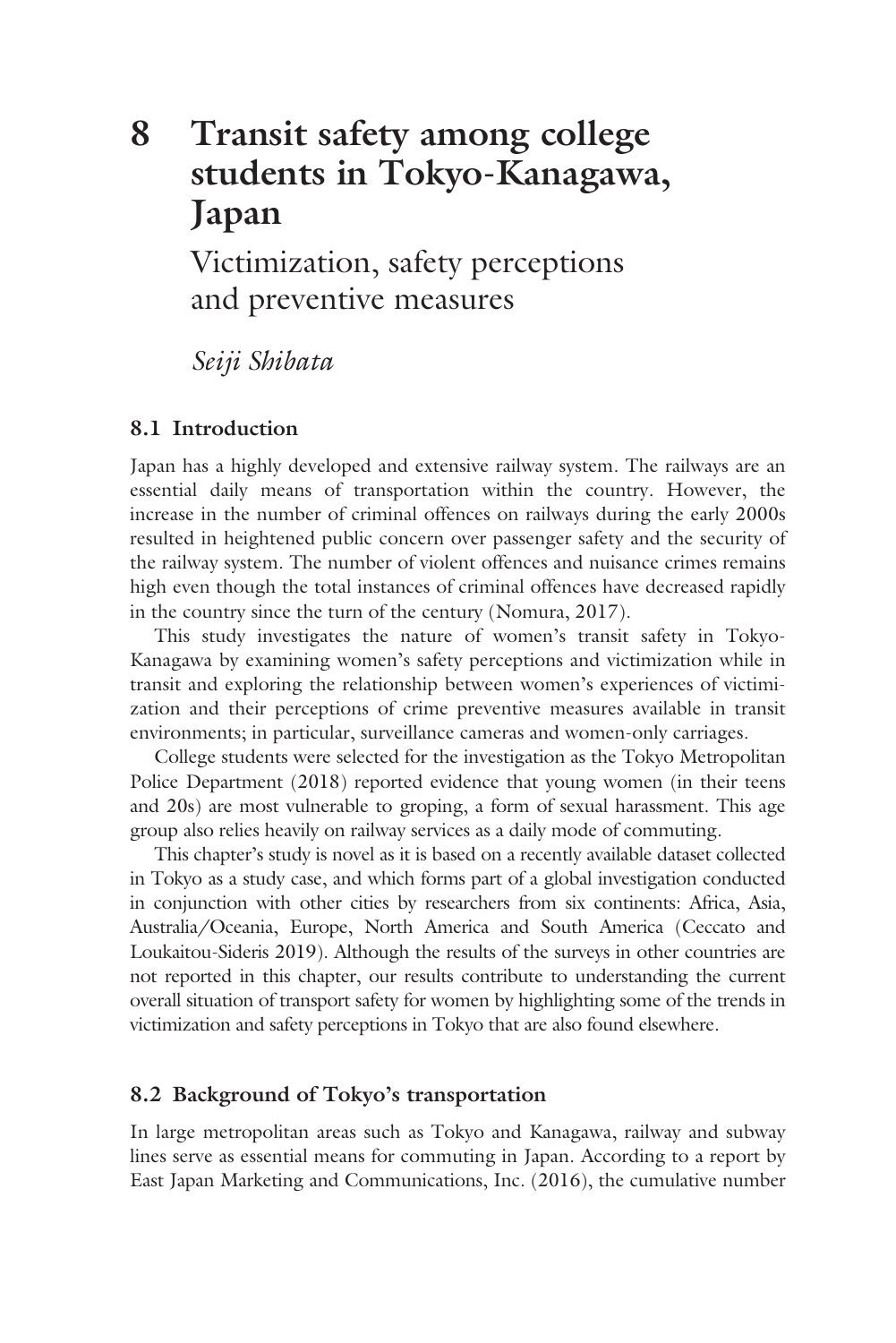# **8 Transit safety among college [students in Tokyo-Kanagawa,](#page--1-0)  Japan**

Victimization, safety perceptions and preventive measures

*Seiji Shibata*

# **8.1 Introduction**

Japan has a highly developed and extensive railway system. The railways are an essential daily means of transportation within the country. However, the increase in the number of criminal offences on railways during the early 2000s resulted in heightened public concern over passenger safety and the security of the railway system. The number of violent offences and nuisance crimes remains high even though the total instances of criminal offences have decreased rapidly in the country since the turn of the century (Nomura, 2017).

This study investigates the nature of women's transit safety in Tokyo-Kanagawa by examining women's safety perceptions and victimization while in transit and exploring the relationship between women's experiences of victimization and their perceptions of crime preventive measures available in transit environments; in particular, surveillance cameras and women-only carriages.

College students were selected for the investigation as the Tokyo Metropolitan Police Department (2018) reported evidence that young women (in their teens and 20s) are most vulnerable to groping, a form of sexual harassment. This age group also relies heavily on railway services as a daily mode of commuting.

This chapter's study is novel as it is based on a recently available dataset collected in Tokyo as a study case, and which forms part of a global investigation conducted in conjunction with other cities by researchers from six continents: Africa, Asia, Australia/Oceania, Europe, North America and South America (Ceccato and Loukaitou-Sideris 2019). Although the results of the surveys in other countries are not reported in this chapter, our results contribute to understanding the current overall situation of transport safety for women by highlighting some of the trends in victimization and safety perceptions in Tokyo that are also found elsewhere.

## **8.2 Background of Tokyo's transportation**

In large metropolitan areas such as Tokyo and Kanagawa, railway and subway lines serve as essential means for commuting in Japan. According to a report by East Japan Marketing and Communications, Inc. (2016), the cumulative number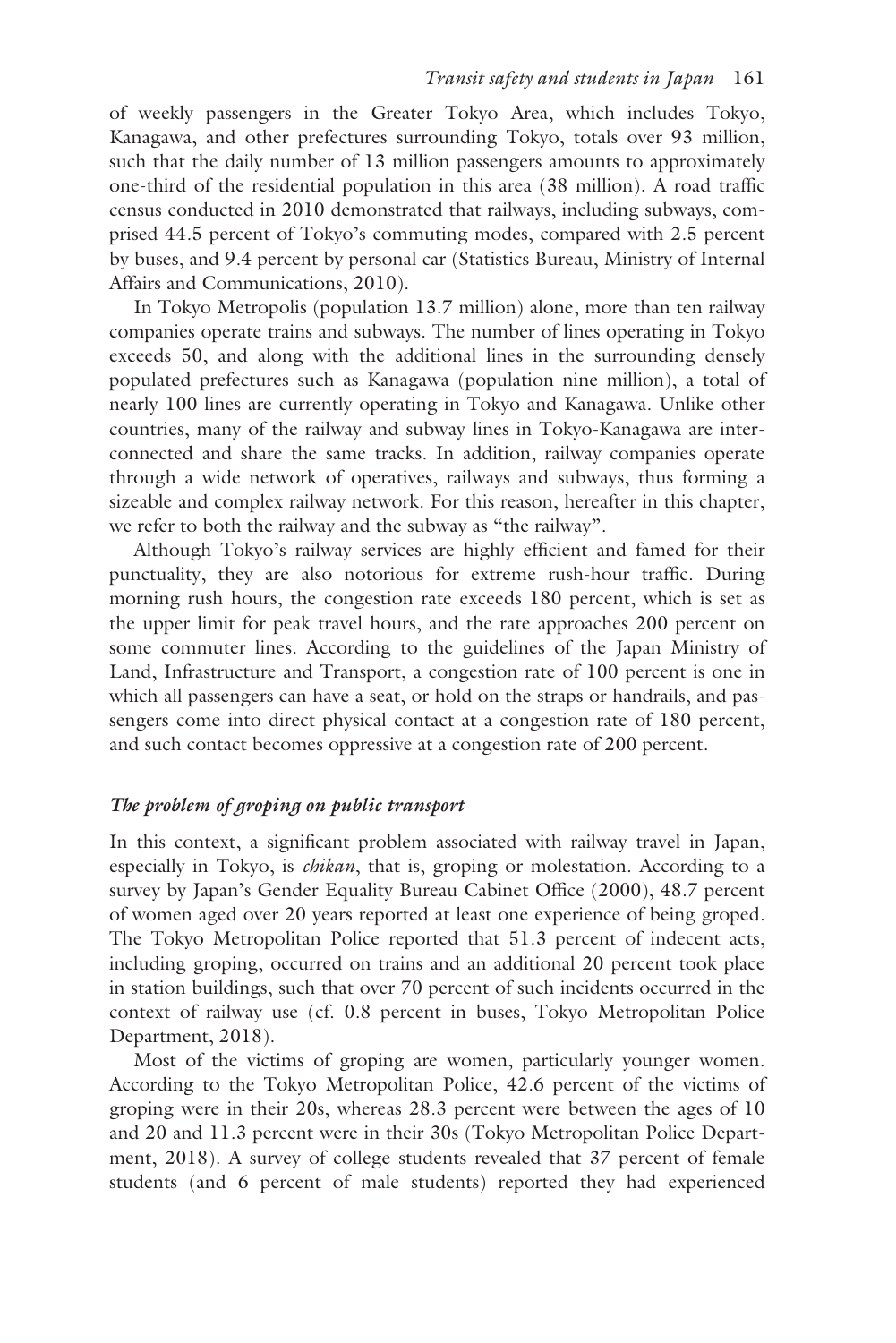of weekly passengers in the Greater Tokyo Area, which includes Tokyo, Kanagawa, and other prefectures surrounding Tokyo, totals over 93 million, such that the daily number of 13 million passengers amounts to approximately one-third of the residential population in this area (38 million). A road traffic census conducted in 2010 demonstrated that railways, including subways, comprised 44.5 percent of Tokyo's commuting modes, compared with 2.5 percent by buses, and 9.4 percent by personal car (Statistics Bureau, Ministry of Internal Affairs and Communications, 2010).

In Tokyo Metropolis (population 13.7 million) alone, more than ten railway companies operate trains and subways. The number of lines operating in Tokyo exceeds 50, and along with the additional lines in the surrounding densely populated prefectures such as Kanagawa (population nine million), a total of nearly 100 lines are currently operating in Tokyo and Kanagawa. Unlike other countries, many of the railway and subway lines in Tokyo-Kanagawa are interconnected and share the same tracks. In addition, railway companies operate through a wide network of operatives, railways and subways, thus forming a sizeable and complex railway network. For this reason, hereafter in this chapter, we refer to both the railway and the subway as "the railway".

Although Tokyo's railway services are highly efficient and famed for their punctuality, they are also notorious for extreme rush-hour traffic. During morning rush hours, the congestion rate exceeds 180 percent, which is set as the upper limit for peak travel hours, and the rate approaches 200 percent on some commuter lines. According to the guidelines of the Japan Ministry of Land, Infrastructure and Transport, a congestion rate of 100 percent is one in which all passengers can have a seat, or hold on the straps or handrails, and passengers come into direct physical contact at a congestion rate of 180 percent, and such contact becomes oppressive at a congestion rate of 200 percent.

## *The problem of groping on public transport*

In this context, a significant problem associated with railway travel in Japan, especially in Tokyo, is *chikan*, that is, groping or molestation. According to a survey by Japan's Gender Equality Bureau Cabinet Office (2000), 48.7 percent of women aged over 20 years reported at least one experience of being groped. The Tokyo Metropolitan Police reported that 51.3 percent of indecent acts, including groping, occurred on trains and an additional 20 percent took place in station buildings, such that over 70 percent of such incidents occurred in the context of railway use (cf. 0.8 percent in buses, Tokyo Metropolitan Police Department, 2018).

Most of the victims of groping are women, particularly younger women. According to the Tokyo Metropolitan Police, 42.6 percent of the victims of groping were in their 20s, whereas 28.3 percent were between the ages of 10 and 20 and 11.3 percent were in their 30s (Tokyo Metropolitan Police Department, 2018). A survey of college students revealed that 37 percent of female students (and 6 percent of male students) reported they had experienced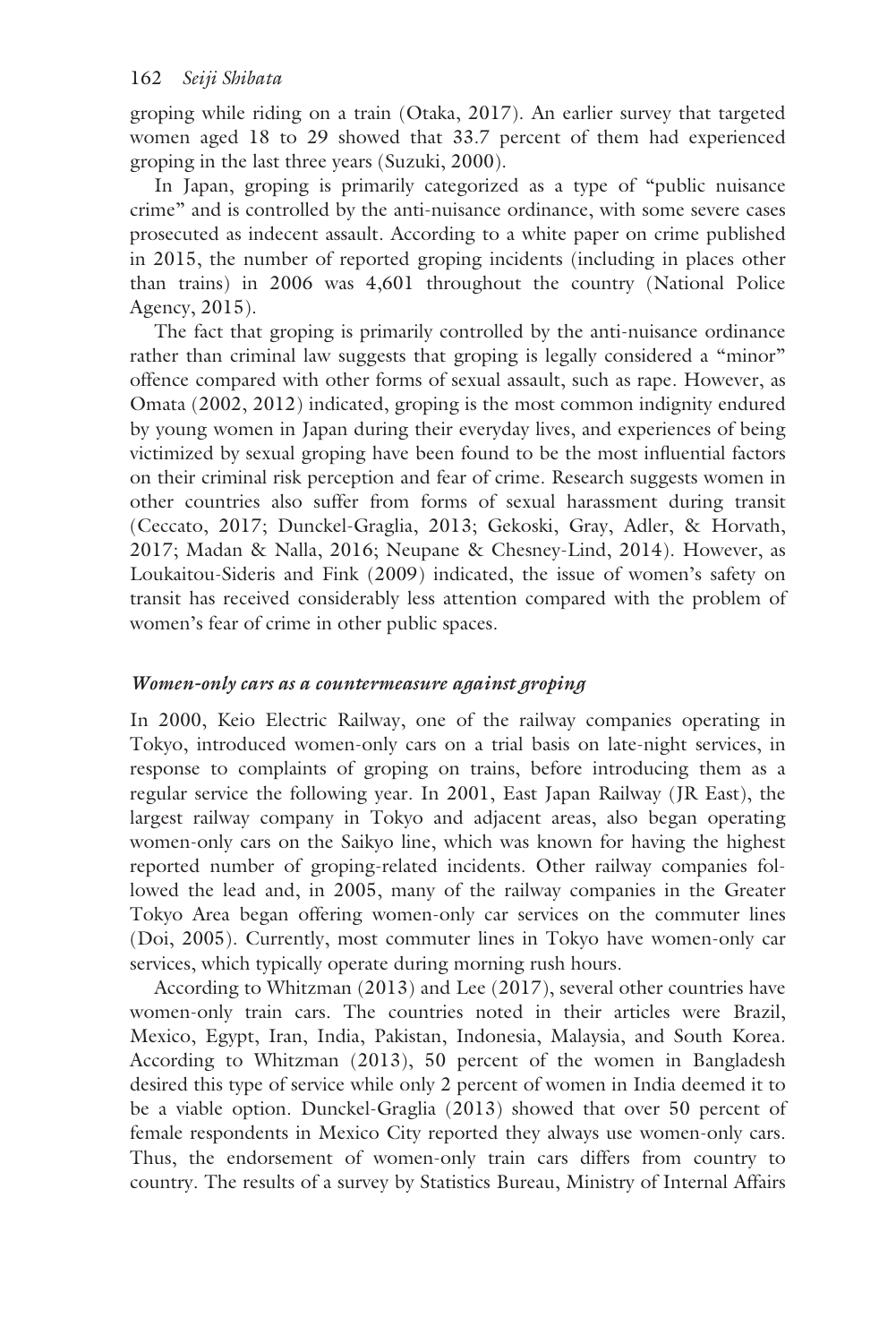groping while riding on a train (Otaka, 2017). An earlier survey that targeted women aged 18 to 29 showed that 33.7 percent of them had experienced groping in the last three years (Suzuki, 2000).

In Japan, groping is primarily categorized as a type of "public nuisance crime" and is controlled by the anti-nuisance ordinance, with some severe cases prosecuted as indecent assault. According to a white paper on crime published in 2015, the number of reported groping incidents (including in places other than trains) in 2006 was 4,601 throughout the country (National Police Agency, 2015).

The fact that groping is primarily controlled by the anti-nuisance ordinance rather than criminal law suggests that groping is legally considered a "minor" offence compared with other forms of sexual assault, such as rape. However, as Omata (2002, 2012) indicated, groping is the most common indignity endured by young women in Japan during their everyday lives, and experiences of being victimized by sexual groping have been found to be the most influential factors on their criminal risk perception and fear of crime. Research suggests women in other countries also suffer from forms of sexual harassment during transit (Ceccato, 2017; Dunckel-Graglia, 2013; Gekoski, Gray, Adler, & Horvath, 2017; Madan & Nalla, 2016; Neupane & Chesney-Lind, 2014). However, as Loukaitou-Sideris and Fink (2009) indicated, the issue of women's safety on transit has received considerably less attention compared with the problem of women's fear of crime in other public spaces.

## *Women-only cars as a countermeasure against groping*

In 2000, Keio Electric Railway, one of the railway companies operating in Tokyo, introduced women-only cars on a trial basis on late-night services, in response to complaints of groping on trains, before introducing them as a regular service the following year. In 2001, East Japan Railway (JR East), the largest railway company in Tokyo and adjacent areas, also began operating women-only cars on the Saikyo line, which was known for having the highest reported number of groping-related incidents. Other railway companies followed the lead and, in 2005, many of the railway companies in the Greater Tokyo Area began offering women-only car services on the commuter lines (Doi, 2005). Currently, most commuter lines in Tokyo have women-only car services, which typically operate during morning rush hours.

According to Whitzman (2013) and Lee (2017), several other countries have women-only train cars. The countries noted in their articles were Brazil, Mexico, Egypt, Iran, India, Pakistan, Indonesia, Malaysia, and South Korea. According to Whitzman (2013), 50 percent of the women in Bangladesh desired this type of service while only 2 percent of women in India deemed it to be a viable option. Dunckel-Graglia (2013) showed that over 50 percent of female respondents in Mexico City reported they always use women-only cars. Thus, the endorsement of women-only train cars differs from country to country. The results of a survey by Statistics Bureau, Ministry of Internal Affairs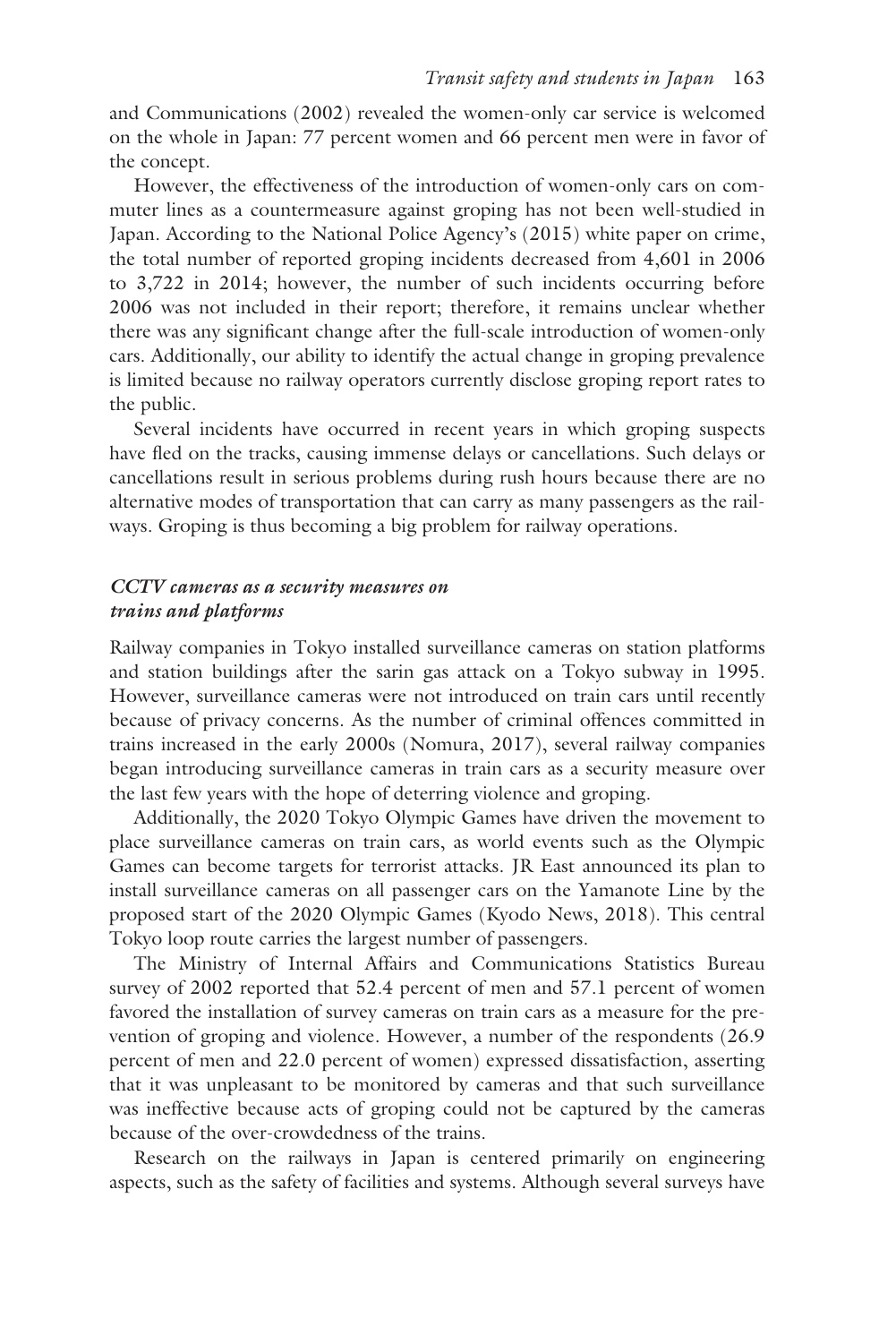and Communications (2002) revealed the women-only car service is welcomed on the whole in Japan: 77 percent women and 66 percent men were in favor of the concept.

However, the effectiveness of the introduction of women-only cars on commuter lines as a countermeasure against groping has not been well-studied in Japan. According to the National Police Agency's (2015) white paper on crime, the total number of reported groping incidents decreased from 4,601 in 2006 to 3,722 in 2014; however, the number of such incidents occurring before 2006 was not included in their report; therefore, it remains unclear whether there was any significant change after the full-scale introduction of women-only cars. Additionally, our ability to identify the actual change in groping prevalence is limited because no railway operators currently disclose groping report rates to the public.

Several incidents have occurred in recent years in which groping suspects have fled on the tracks, causing immense delays or cancellations. Such delays or cancellations result in serious problems during rush hours because there are no alternative modes of transportation that can carry as many passengers as the railways. Groping is thus becoming a big problem for railway operations.

#### *CCTV cameras as a security measures on trains and platforms*

Railway companies in Tokyo installed surveillance cameras on station platforms and station buildings after the sarin gas attack on a Tokyo subway in 1995. However, surveillance cameras were not introduced on train cars until recently because of privacy concerns. As the number of criminal offences committed in trains increased in the early 2000s (Nomura, 2017), several railway companies began introducing surveillance cameras in train cars as a security measure over the last few years with the hope of deterring violence and groping.

Additionally, the 2020 Tokyo Olympic Games have driven the movement to place surveillance cameras on train cars, as world events such as the Olympic Games can become targets for terrorist attacks. JR East announced its plan to install surveillance cameras on all passenger cars on the Yamanote Line by the proposed start of the 2020 Olympic Games (Kyodo News, 2018). This central Tokyo loop route carries the largest number of passengers.

The Ministry of Internal Affairs and Communications Statistics Bureau survey of 2002 reported that 52.4 percent of men and 57.1 percent of women favored the installation of survey cameras on train cars as a measure for the prevention of groping and violence. However, a number of the respondents (26.9 percent of men and 22.0 percent of women) expressed dissatisfaction, asserting that it was unpleasant to be monitored by cameras and that such surveillance was ineffective because acts of groping could not be captured by the cameras because of the over-crowdedness of the trains.

Research on the railways in Japan is centered primarily on engineering aspects, such as the safety of facilities and systems. Although several surveys have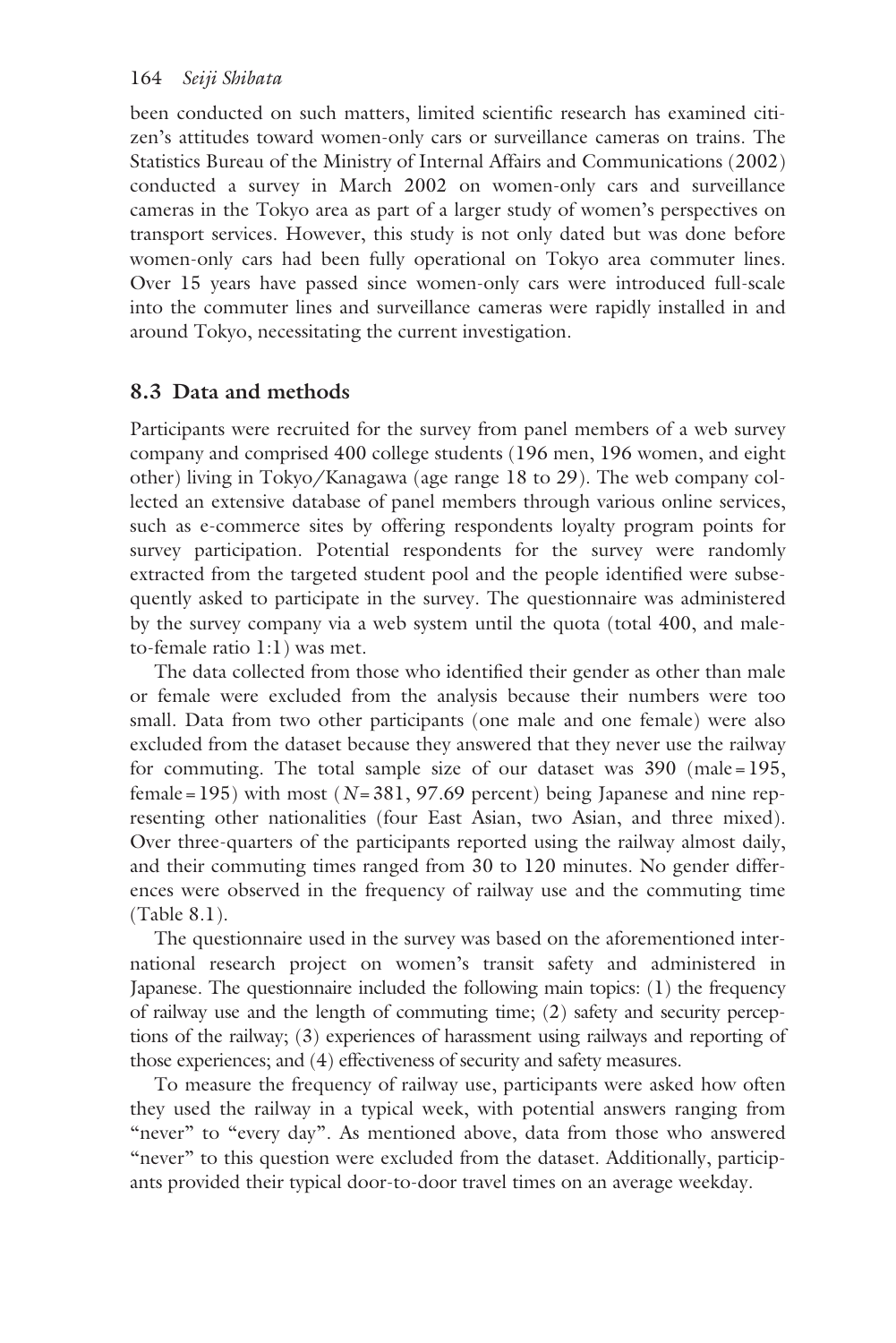been conducted on such matters, limited scientific research has examined citizen's attitudes toward women-only cars or surveillance cameras on trains. The Statistics Bureau of the Ministry of Internal Affairs and Communications (2002) conducted a survey in March 2002 on women-only cars and surveillance cameras in the Tokyo area as part of a larger study of women's perspectives on transport services. However, this study is not only dated but was done before women-only cars had been fully operational on Tokyo area commuter lines. Over 15 years have passed since women-only cars were introduced full-scale into the commuter lines and surveillance cameras were rapidly installed in and around Tokyo, necessitating the current investigation.

# **8.3 Data and methods**

Participants were recruited for the survey from panel members of a web survey company and comprised 400 college students (196 men, 196 women, and eight other) living in Tokyo/Kanagawa (age range 18 to 29). The web company collected an extensive database of panel members through various online services, such as e-commerce sites by offering respondents loyalty program points for survey participation. Potential respondents for the survey were randomly extracted from the targeted student pool and the people identified were subsequently asked to participate in the survey. The questionnaire was administered by the survey company via a web system until the quota (total 400, and maleto-female ratio 1:1) was met.

The data collected from those who identified their gender as other than male or female were excluded from the analysis because their numbers were too small. Data from two other participants (one male and one female) were also excluded from the dataset because they answered that they never use the railway for commuting. The total sample size of our dataset was 390 (male=195, female = 195) with most ( $N=381$ , 97.69 percent) being Japanese and nine representing other nationalities (four East Asian, two Asian, and three mixed). Over three-quarters of the participants reported using the railway almost daily, and their commuting times ranged from 30 to 120 minutes. No gender differences were observed in the frequency of railway use and the commuting time [\(Table 8.1\)](#page--1-0).

The questionnaire used in the survey was based on the aforementioned international research project on women's transit safety and administered in Japanese. The questionnaire included the following main topics: (1) the frequency of railway use and the length of commuting time; (2) safety and security perceptions of the railway; (3) experiences of harassment using railways and reporting of those experiences; and (4) effectiveness of security and safety measures.

To measure the frequency of railway use, participants were asked how often they used the railway in a typical week, with potential answers ranging from "never" to "every day". As mentioned above, data from those who answered "never" to this question were excluded from the dataset. Additionally, participants provided their typical door-to-door travel times on an average weekday.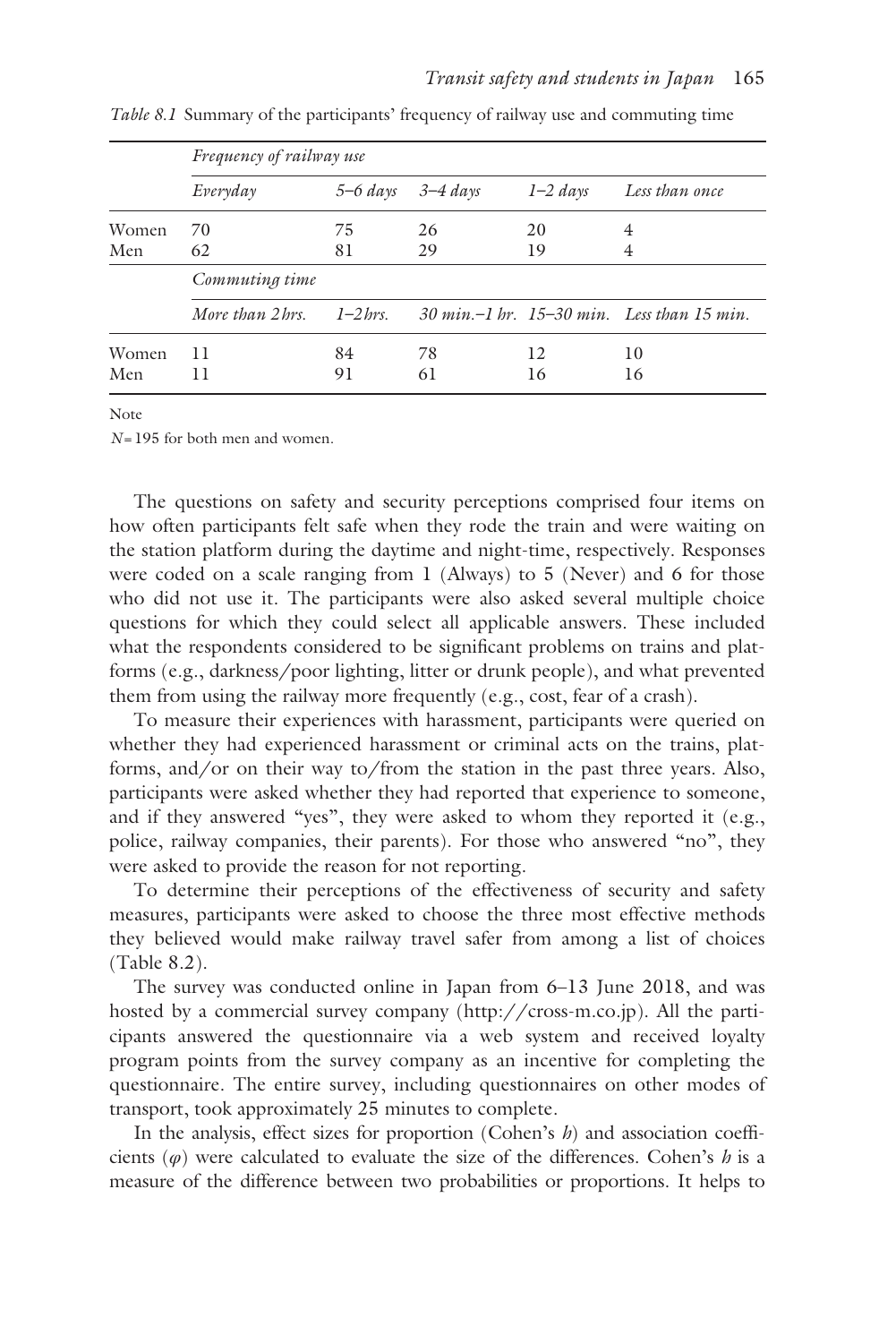|       | Frequency of railway use |           |          |            |                                                                |  |  |  |
|-------|--------------------------|-----------|----------|------------|----------------------------------------------------------------|--|--|--|
|       | Everyday                 | 5–6 days  | 3–4 days | $1-2$ days | Less than once                                                 |  |  |  |
| Women | 70                       | 75        | 26       | 20         | 4                                                              |  |  |  |
| Men   | 62                       | 81        | 29       | 19         | 4                                                              |  |  |  |
|       | Commuting time           |           |          |            |                                                                |  |  |  |
|       | More than 2 hrs.         | $1-2$ hrs |          |            | $30 \text{ min} - 1 \text{ hr}$ . 15–30 min. Less than 15 min. |  |  |  |
| Women | 11                       | 84        | 78       | 12         | 10                                                             |  |  |  |
| Men   | 11                       | 91        | 61       | 16         | 16                                                             |  |  |  |

*[Table 8.1](#page--1-0)* Summary of the participants' frequency of railway use and commuting time

Note

*N*=195 for both men and women.

The questions on safety and security perceptions comprised four items on how often participants felt safe when they rode the train and were waiting on the station platform during the daytime and night-time, respectively. Responses were coded on a scale ranging from 1 (Always) to 5 (Never) and 6 for those who did not use it. The participants were also asked several multiple choice questions for which they could select all applicable answers. These included what the respondents considered to be significant problems on trains and platforms (e.g., darkness/poor lighting, litter or drunk people), and what prevented them from using the railway more frequently (e.g., cost, fear of a crash).

To measure their experiences with harassment, participants were queried on whether they had experienced harassment or criminal acts on the trains, platforms, and/or on their way to/from the station in the past three years. Also, participants were asked whether they had reported that experience to someone, and if they answered "yes", they were asked to whom they reported it (e.g., police, railway companies, their parents). For those who answered "no", they were asked to provide the reason for not reporting.

To determine their perceptions of the effectiveness of security and safety measures, participants were asked to choose the three most effective methods they believed would make railway travel safer from among a list of choices [\(Table 8.2\)](#page--1-0).

The survey was conducted online in Japan from 6–13 June 2018, and was hosted by a commercial survey company [\(http://cross-m.co.jp\)](http://cross-m.co.jp). All the participants answered the questionnaire via a web system and received loyalty program points from the survey company as an incentive for completing the questionnaire. The entire survey, including questionnaires on other modes of transport, took approximately 25 minutes to complete.

In the analysis, effect sizes for proportion (Cohen's *h*) and association coefficients (*φ*) were calculated to evaluate the size of the differences. Cohen's *h* is a measure of the difference between two probabilities or proportions. It helps to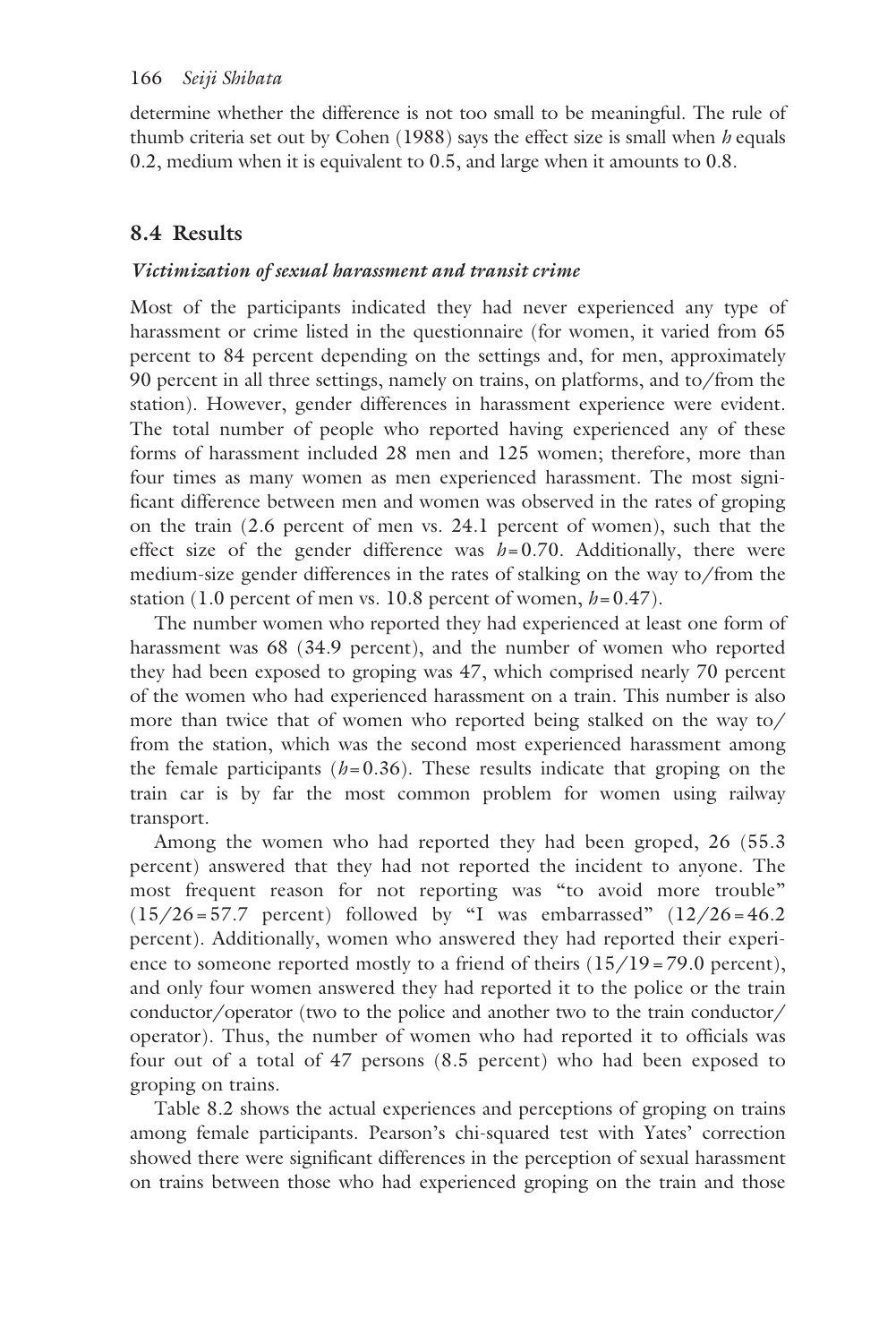determine whether the difference is not too small to be meaningful. The rule of thumb criteria set out by Cohen (1988) says the effect size is small when *h* equals 0.2, medium when it is equivalent to 0.5, and large when it amounts to 0.8.

# **8.4 Results**

## *Victimization of sexual harassment and transit crime*

Most of the participants indicated they had never experienced any type of harassment or crime listed in the questionnaire (for women, it varied from 65 percent to 84 percent depending on the settings and, for men, approximately 90 percent in all three settings, namely on trains, on platforms, and to/from the station). However, gender differences in harassment experience were evident. The total number of people who reported having experienced any of these forms of harassment included 28 men and 125 women; therefore, more than four times as many women as men experienced harassment. The most significant difference between men and women was observed in the rates of groping on the train (2.6 percent of men vs. 24.1 percent of women), such that the effect size of the gender difference was *h*=0.70. Additionally, there were medium-size gender differences in the rates of stalking on the way to/from the station (1.0 percent of men vs. 10.8 percent of women, *h*=0.47).

The number women who reported they had experienced at least one form of harassment was 68 (34.9 percent), and the number of women who reported they had been exposed to groping was 47, which comprised nearly 70 percent of the women who had experienced harassment on a train. This number is also more than twice that of women who reported being stalked on the way to/ from the station, which was the second most experienced harassment among the female participants  $(h=0.36)$ . These results indicate that groping on the train car is by far the most common problem for women using railway transport.

Among the women who had reported they had been groped, 26 (55.3 percent) answered that they had not reported the incident to anyone. The most frequent reason for not reporting was "to avoid more trouble"  $(15/26 = 57.7$  percent) followed by "I was embarrassed"  $(12/26 = 46.2$ percent). Additionally, women who answered they had reported their experience to someone reported mostly to a friend of theirs  $(15/19=79.0 \text{ percent})$ , and only four women answered they had reported it to the police or the train conductor/operator (two to the police and another two to the train conductor/ operator). Thus, the number of women who had reported it to officials was four out of a total of 47 persons (8.5 percent) who had been exposed to groping on trains.

[Table 8.2](#page--1-0) shows the actual experiences and perceptions of groping on trains among female participants. Pearson's chi-squared test with Yates' correction showed there were significant differences in the perception of sexual harassment on trains between those who had experienced groping on the train and those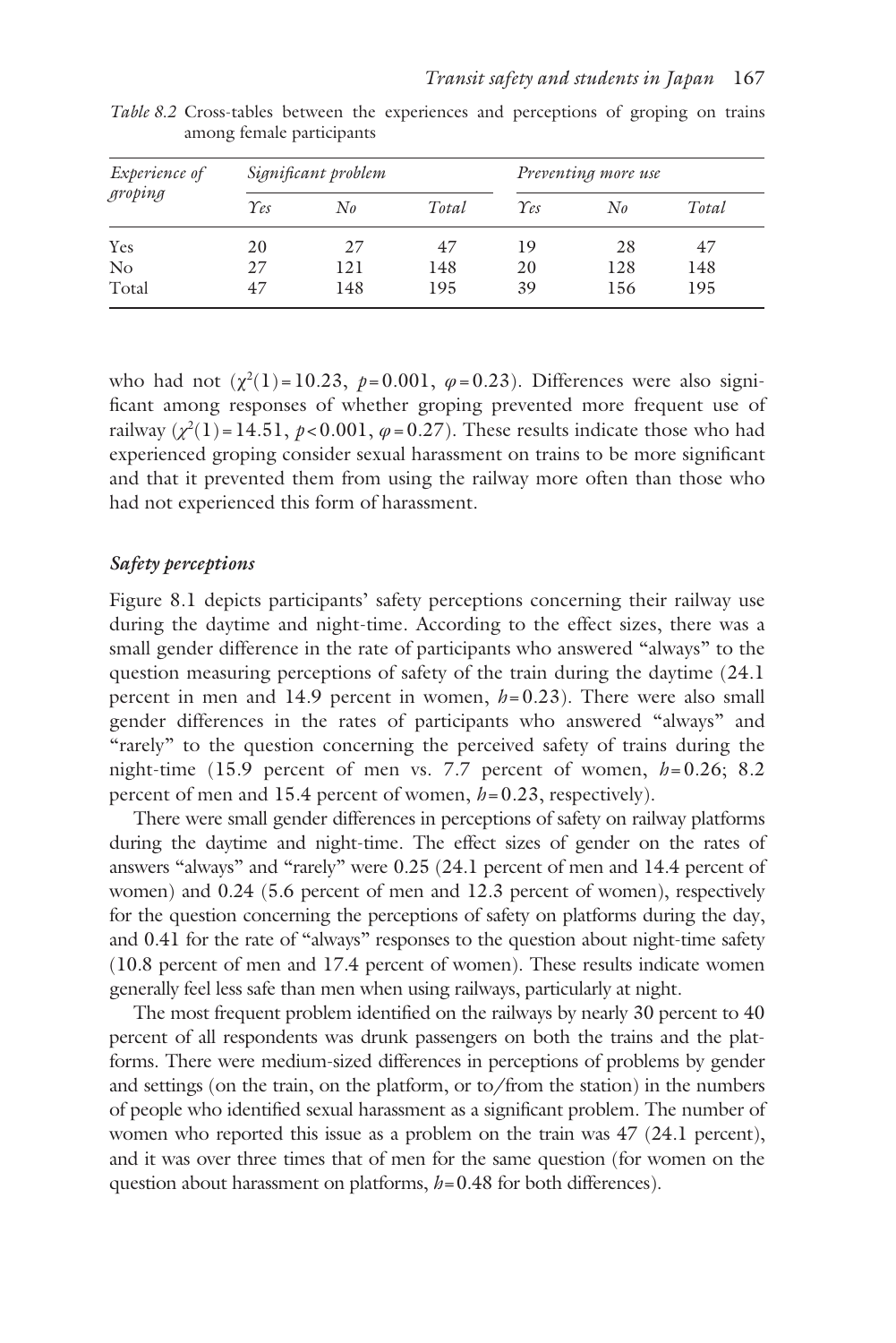| <i>Experience of</i> |               | Significant problem |       | Preventing more use |              |       |  |
|----------------------|---------------|---------------------|-------|---------------------|--------------|-------|--|
| groping              | $\gamma_{es}$ | $N_{\theta}$        | Total | $\gamma_{es}$       | $N_{\theta}$ | Total |  |
| Yes                  | 20            | 27                  | 47    | 19                  | 28           | 47    |  |
| N <sub>o</sub>       | 27            | 121                 | 148   | 20                  | 128          | 148   |  |
| Total                | 47            | 148                 | 195   | 39                  | 156          | 195   |  |

*[Table 8.2](#page--1-0)* Cross-tables between the experiences and perceptions of groping on trains among female participants

who had not  $(\chi^2(1) = 10.23, p = 0.001, \varphi = 0.23)$ . Differences were also significant among responses of whether groping prevented more frequent use of railway  $(\chi^2(1) = 14.51, p < 0.001, \varphi = 0.27)$ . These results indicate those who had experienced groping consider sexual harassment on trains to be more significant and that it prevented them from using the railway more often than those who had not experienced this form of harassment.

## *Safety perceptions*

[Figure 8.1](#page--1-0) depicts participants' safety perceptions concerning their railway use during the daytime and night-time. According to the effect sizes, there was a small gender difference in the rate of participants who answered "always" to the question measuring perceptions of safety of the train during the daytime (24.1 percent in men and 14.9 percent in women,  $h = 0.23$ ). There were also small gender differences in the rates of participants who answered "always" and "rarely" to the question concerning the perceived safety of trains during the night-time (15.9 percent of men vs. 7.7 percent of women,  $h=0.26$ ; 8.2 percent of men and 15.4 percent of women,  $h=0.23$ , respectively).

There were small gender differences in perceptions of safety on railway platforms during the daytime and night-time. The effect sizes of gender on the rates of answers "always" and "rarely" were 0.25 (24.1 percent of men and 14.4 percent of women) and 0.24 (5.6 percent of men and 12.3 percent of women), respectively for the question concerning the perceptions of safety on platforms during the day, and 0.41 for the rate of "always" responses to the question about night-time safety (10.8 percent of men and 17.4 percent of women). These results indicate women generally feel less safe than men when using railways, particularly at night.

The most frequent problem identified on the railways by nearly 30 percent to 40 percent of all respondents was drunk passengers on both the trains and the platforms. There were medium-sized differences in perceptions of problems by gender and settings (on the train, on the platform, or to/from the station) in the numbers of people who identified sexual harassment as a significant problem. The number of women who reported this issue as a problem on the train was 47 (24.1 percent), and it was over three times that of men for the same question (for women on the question about harassment on platforms,  $h=0.48$  for both differences).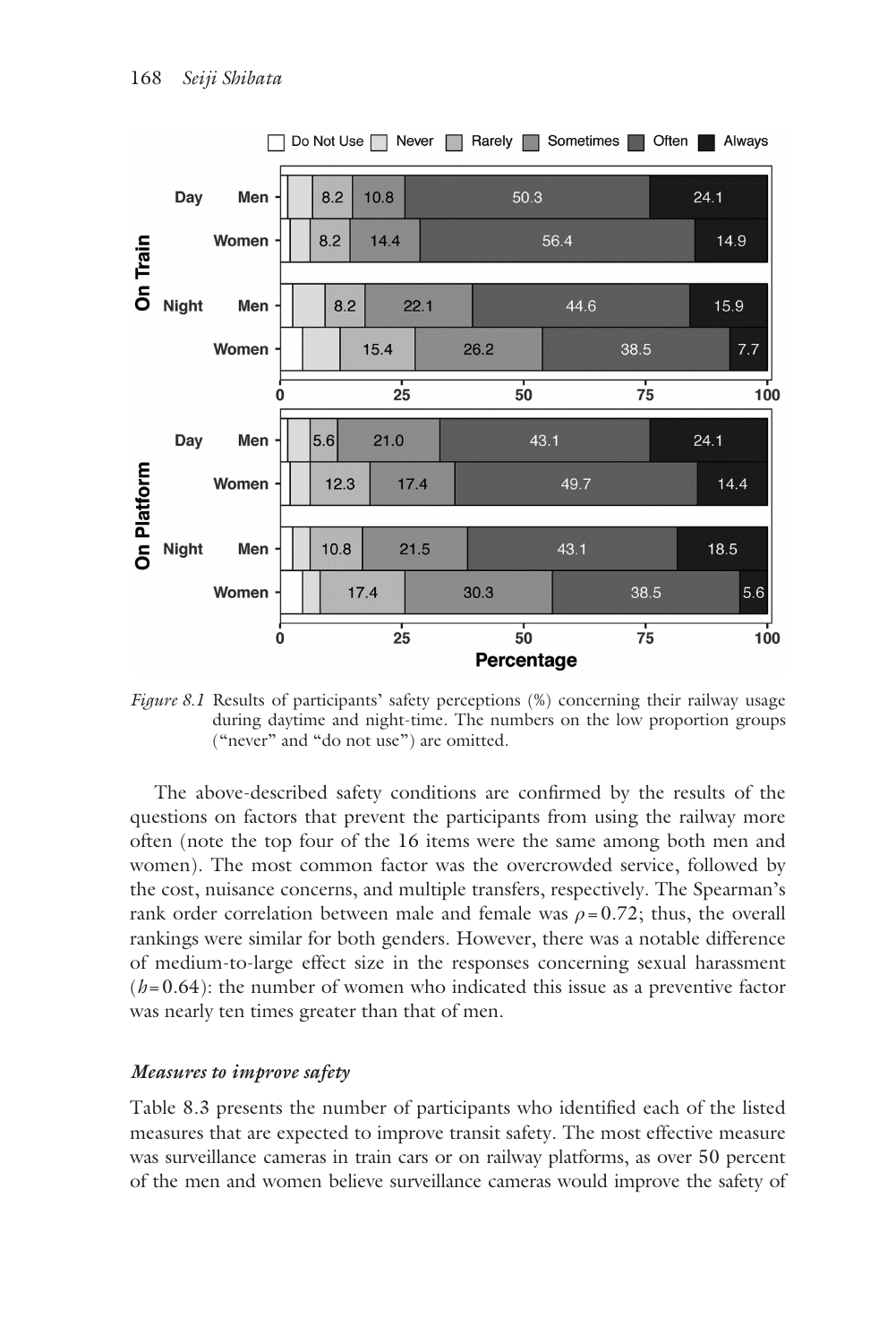

*[Figure 8.1](#page--1-0)* Results of participants' safety perceptions (%) concerning their railway usage during daytime and night-time. The numbers on the low proportion groups ("never" and "do not use") are omitted.

The above-described safety conditions are confirmed by the results of the questions on factors that prevent the participants from using the railway more often (note the top four of the 16 items were the same among both men and women). The most common factor was the overcrowded service, followed by the cost, nuisance concerns, and multiple transfers, respectively. The Spearman's rank order correlation between male and female was  $\rho = 0.72$ ; thus, the overall rankings were similar for both genders. However, there was a notable difference of medium-to-large effect size in the responses concerning sexual harassment  $(h=0.64)$ : the number of women who indicated this issue as a preventive factor was nearly ten times greater than that of men.

#### *Measures to improve safety*

[Table 8.3](#page--1-0) presents the number of participants who identified each of the listed measures that are expected to improve transit safety. The most effective measure was surveillance cameras in train cars or on railway platforms, as over 50 percent of the men and women believe surveillance cameras would improve the safety of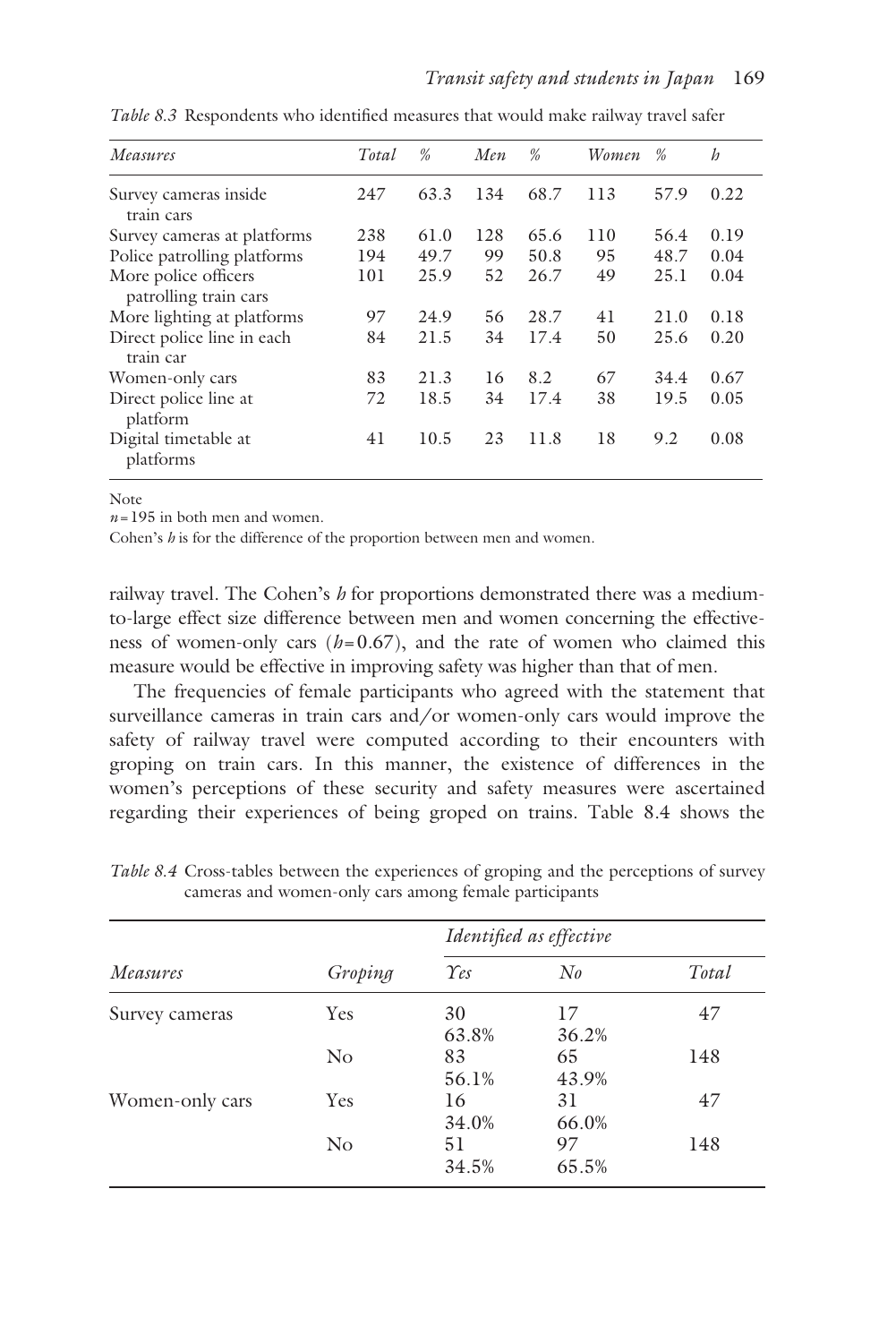| Measures                                      | Total | %    | Men | %    | Women | %    | $\boldsymbol{h}$ |
|-----------------------------------------------|-------|------|-----|------|-------|------|------------------|
| Survey cameras inside<br>train cars           | 247   | 63.3 | 134 | 68.7 | 113   | 57.9 | 0.22             |
| Survey cameras at platforms                   | 238   | 61.0 | 128 | 65.6 | 110   | 56.4 | 0.19             |
| Police patrolling platforms                   | 194   | 49.7 | 99  | 50.8 | 95    | 48.7 | 0.04             |
| More police officers<br>patrolling train cars | 101   | 25.9 | 52  | 26.7 | 49    | 25.1 | 0.04             |
| More lighting at platforms                    | 97    | 24.9 | 56  | 28.7 | 41    | 21.0 | 0.18             |
| Direct police line in each<br>train car       | 84    | 21.5 | 34  | 17.4 | 50    | 25.6 | 0.20             |
| Women-only cars                               | 83    | 21.3 | 16  | 8.2  | 67    | 34.4 | 0.67             |
| Direct police line at<br>platform             | 72    | 18.5 | 34  | 17.4 | 38    | 19.5 | 0.05             |
| Digital timetable at<br>platforms             | 41    | 10.5 | 23  | 11.8 | 18    | 9.2  | 0.08             |

*[Table 8.3](#page--1-0)* Respondents who identified measures that would make railway travel safer

Note

*n*=195 in both men and women.

Cohen's *h* is for the difference of the proportion between men and women.

railway travel. The Cohen's *h* for proportions demonstrated there was a mediumto-large effect size difference between men and women concerning the effectiveness of women-only cars  $(h=0.67)$ , and the rate of women who claimed this measure would be effective in improving safety was higher than that of men.

The frequencies of female participants who agreed with the statement that surveillance cameras in train cars and/or women-only cars would improve the safety of railway travel were computed according to their encounters with groping on train cars. In this manner, the existence of differences in the women's perceptions of these security and safety measures were ascertained regarding their experiences of being groped on trains. [Table 8.4](#page--1-0) shows the

|                 |          | Identified as effective |              |       |  |  |
|-----------------|----------|-------------------------|--------------|-------|--|--|
| Measures        | Groping  | $\gamma_{es}$           | $N_{\theta}$ | Total |  |  |
| Survey cameras  | Yes      | 30<br>63.8%             | 17<br>36.2%  | 47    |  |  |
|                 | $\rm No$ | 83<br>56.1%             | 65<br>43.9%  | 148   |  |  |
| Women-only cars | Yes      | 16<br>34.0%             | 31<br>66.0%  | 47    |  |  |
|                 | $\rm No$ | 51<br>34.5%             | 97<br>65.5%  | 148   |  |  |

*[Table 8.4](#page--1-0)* Cross-tables between the experiences of groping and the perceptions of survey cameras and women-only cars among female participants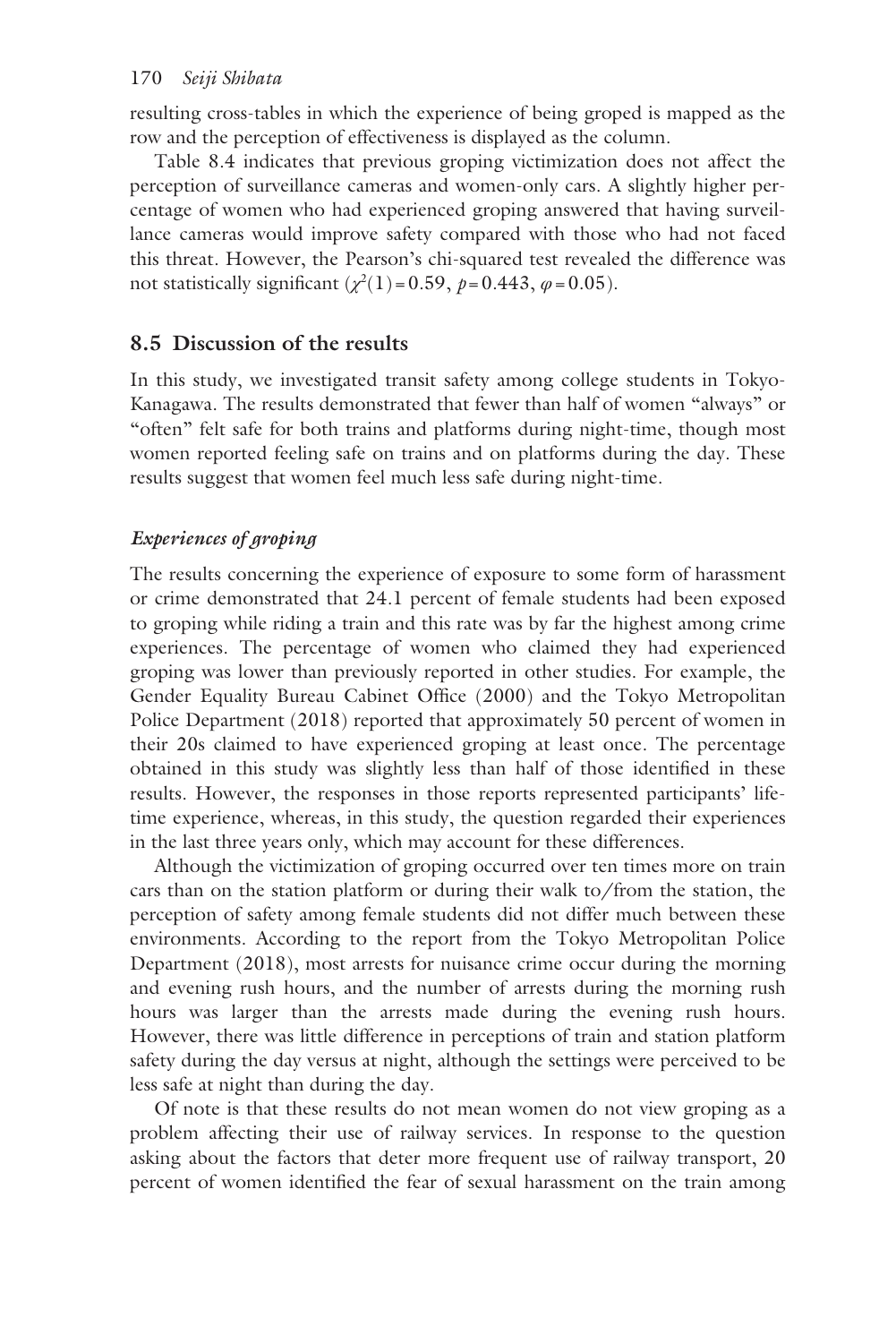resulting cross-tables in which the experience of being groped is mapped as the row and the perception of effectiveness is displayed as the column.

[Table 8.4](#page--1-0) indicates that previous groping victimization does not affect the perception of surveillance cameras and women-only cars. A slightly higher percentage of women who had experienced groping answered that having surveillance cameras would improve safety compared with those who had not faced this threat. However, the Pearson's chi-squared test revealed the difference was not statistically significant  $(\chi^2(1)$  = 0.59,  $p$  = 0.443,  $\varphi$  = 0.05).

# **8.5 Discussion of the results**

In this study, we investigated transit safety among college students in Tokyo-Kanagawa. The results demonstrated that fewer than half of women "always" or "often" felt safe for both trains and platforms during night-time, though most women reported feeling safe on trains and on platforms during the day. These results suggest that women feel much less safe during night-time.

# *Experiences of groping*

The results concerning the experience of exposure to some form of harassment or crime demonstrated that 24.1 percent of female students had been exposed to groping while riding a train and this rate was by far the highest among crime experiences. The percentage of women who claimed they had experienced groping was lower than previously reported in other studies. For example, the Gender Equality Bureau Cabinet Office (2000) and the Tokyo Metropolitan Police Department (2018) reported that approximately 50 percent of women in their 20s claimed to have experienced groping at least once. The percentage obtained in this study was slightly less than half of those identified in these results. However, the responses in those reports represented participants' lifetime experience, whereas, in this study, the question regarded their experiences in the last three years only, which may account for these differences.

Although the victimization of groping occurred over ten times more on train cars than on the station platform or during their walk to/from the station, the perception of safety among female students did not differ much between these environments. According to the report from the Tokyo Metropolitan Police Department (2018), most arrests for nuisance crime occur during the morning and evening rush hours, and the number of arrests during the morning rush hours was larger than the arrests made during the evening rush hours. However, there was little difference in perceptions of train and station platform safety during the day versus at night, although the settings were perceived to be less safe at night than during the day.

Of note is that these results do not mean women do not view groping as a problem affecting their use of railway services. In response to the question asking about the factors that deter more frequent use of railway transport, 20 percent of women identified the fear of sexual harassment on the train among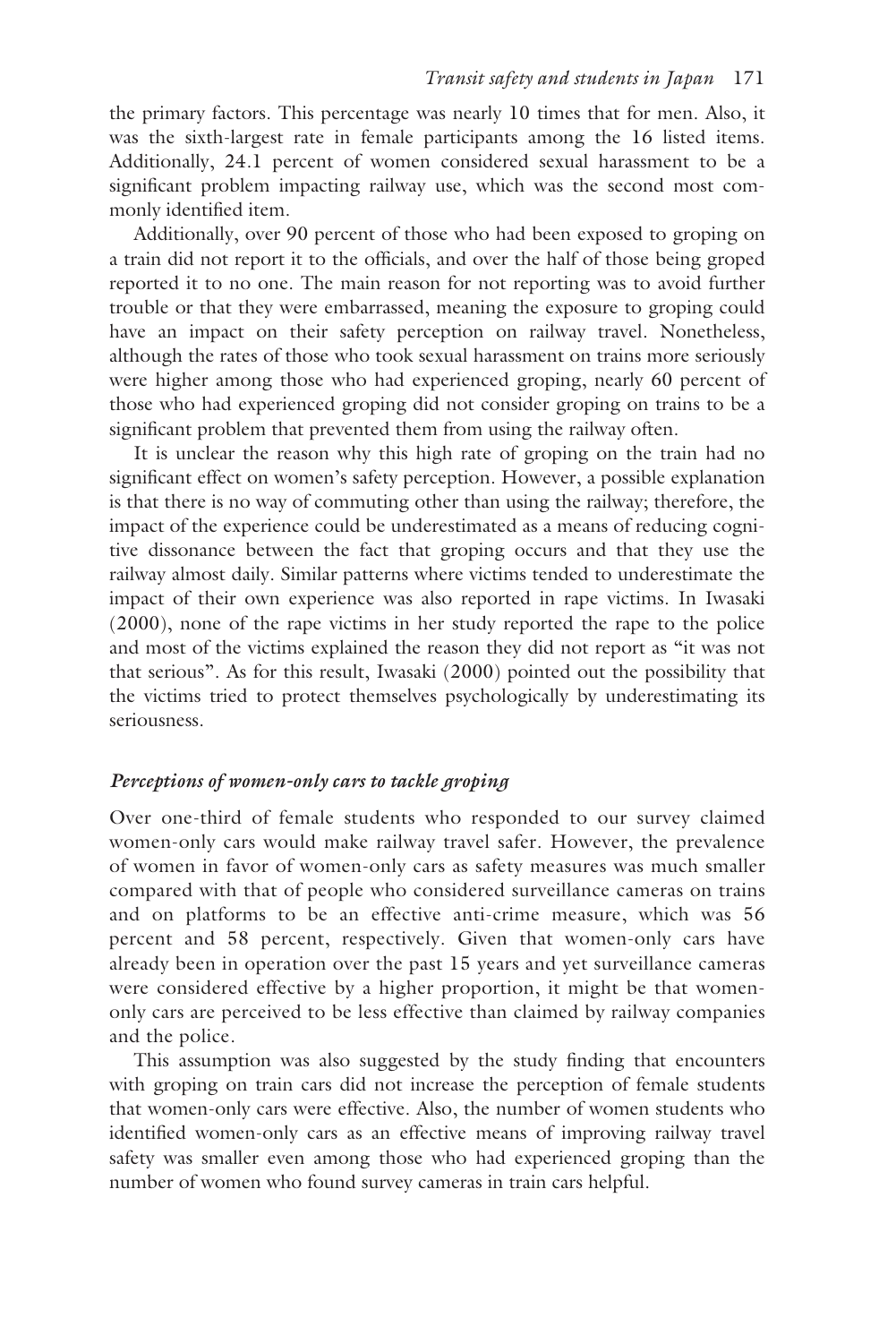the primary factors. This percentage was nearly 10 times that for men. Also, it was the sixth-largest rate in female participants among the 16 listed items. Additionally, 24.1 percent of women considered sexual harassment to be a significant problem impacting railway use, which was the second most commonly identified item.

Additionally, over 90 percent of those who had been exposed to groping on a train did not report it to the officials, and over the half of those being groped reported it to no one. The main reason for not reporting was to avoid further trouble or that they were embarrassed, meaning the exposure to groping could have an impact on their safety perception on railway travel. Nonetheless, although the rates of those who took sexual harassment on trains more seriously were higher among those who had experienced groping, nearly 60 percent of those who had experienced groping did not consider groping on trains to be a significant problem that prevented them from using the railway often.

It is unclear the reason why this high rate of groping on the train had no significant effect on women's safety perception. However, a possible explanation is that there is no way of commuting other than using the railway; therefore, the impact of the experience could be underestimated as a means of reducing cognitive dissonance between the fact that groping occurs and that they use the railway almost daily. Similar patterns where victims tended to underestimate the impact of their own experience was also reported in rape victims. In Iwasaki (2000), none of the rape victims in her study reported the rape to the police and most of the victims explained the reason they did not report as "it was not that serious". As for this result, Iwasaki (2000) pointed out the possibility that the victims tried to protect themselves psychologically by underestimating its seriousness.

## *Perceptions of women-only cars to tackle groping*

Over one-third of female students who responded to our survey claimed women-only cars would make railway travel safer. However, the prevalence of women in favor of women-only cars as safety measures was much smaller compared with that of people who considered surveillance cameras on trains and on platforms to be an effective anti-crime measure, which was 56 percent and 58 percent, respectively. Given that women-only cars have already been in operation over the past 15 years and yet surveillance cameras were considered effective by a higher proportion, it might be that womenonly cars are perceived to be less effective than claimed by railway companies and the police.

This assumption was also suggested by the study finding that encounters with groping on train cars did not increase the perception of female students that women-only cars were effective. Also, the number of women students who identified women-only cars as an effective means of improving railway travel safety was smaller even among those who had experienced groping than the number of women who found survey cameras in train cars helpful.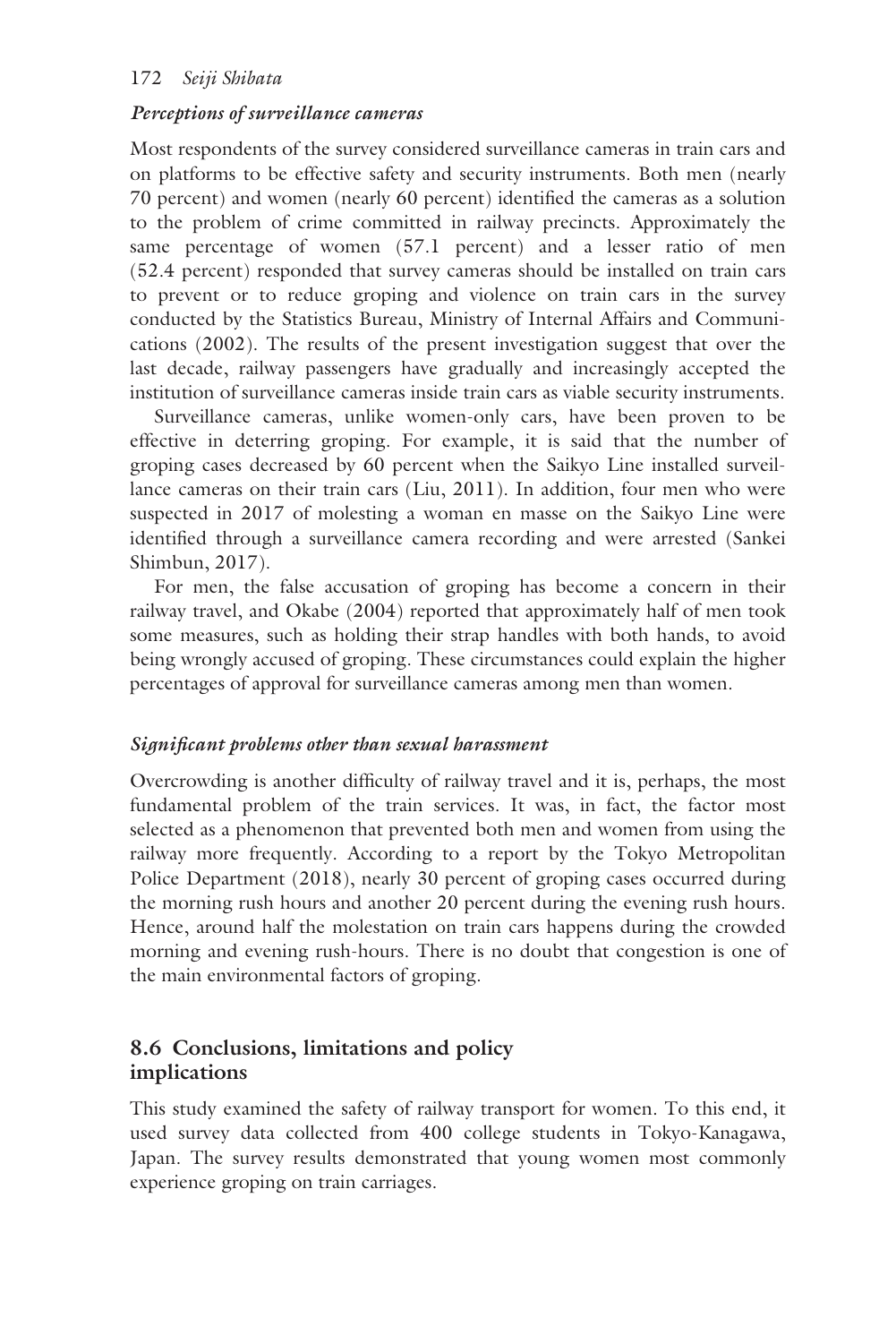## 172 *Seiji Shibata*

#### *Perceptions of surveillance cameras*

Most respondents of the survey considered surveillance cameras in train cars and on platforms to be effective safety and security instruments. Both men (nearly 70 percent) and women (nearly 60 percent) identified the cameras as a solution to the problem of crime committed in railway precincts. Approximately the same percentage of women (57.1 percent) and a lesser ratio of men (52.4 percent) responded that survey cameras should be installed on train cars to prevent or to reduce groping and violence on train cars in the survey conducted by the Statistics Bureau, Ministry of Internal Affairs and Communications (2002). The results of the present investigation suggest that over the last decade, railway passengers have gradually and increasingly accepted the institution of surveillance cameras inside train cars as viable security instruments.

Surveillance cameras, unlike women-only cars, have been proven to be effective in deterring groping. For example, it is said that the number of groping cases decreased by 60 percent when the Saikyo Line installed surveillance cameras on their train cars (Liu, 2011). In addition, four men who were suspected in 2017 of molesting a woman en masse on the Saikyo Line were identified through a surveillance camera recording and were arrested (Sankei Shimbun, 2017).

For men, the false accusation of groping has become a concern in their railway travel, and Okabe (2004) reported that approximately half of men took some measures, such as holding their strap handles with both hands, to avoid being wrongly accused of groping. These circumstances could explain the higher percentages of approval for surveillance cameras among men than women.

#### *Significant problems other than sexual harassment*

Overcrowding is another difficulty of railway travel and it is, perhaps, the most fundamental problem of the train services. It was, in fact, the factor most selected as a phenomenon that prevented both men and women from using the railway more frequently. According to a report by the Tokyo Metropolitan Police Department (2018), nearly 30 percent of groping cases occurred during the morning rush hours and another 20 percent during the evening rush hours. Hence, around half the molestation on train cars happens during the crowded morning and evening rush-hours. There is no doubt that congestion is one of the main environmental factors of groping.

# **8.6 Conclusions, limitations and policy implications**

This study examined the safety of railway transport for women. To this end, it used survey data collected from 400 college students in Tokyo-Kanagawa, Japan. The survey results demonstrated that young women most commonly experience groping on train carriages.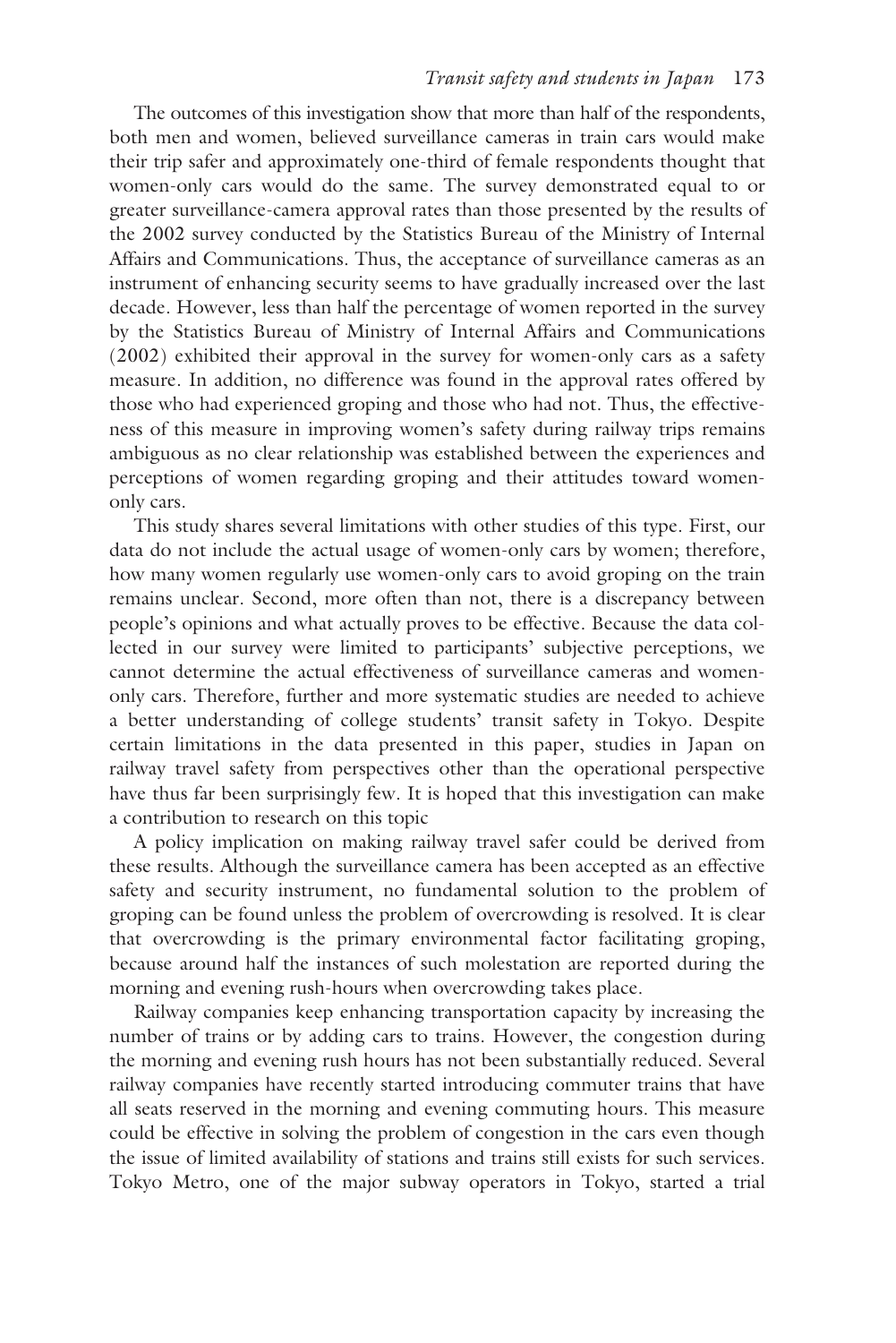The outcomes of this investigation show that more than half of the respondents, both men and women, believed surveillance cameras in train cars would make their trip safer and approximately one-third of female respondents thought that women-only cars would do the same. The survey demonstrated equal to or greater surveillance-camera approval rates than those presented by the results of the 2002 survey conducted by the Statistics Bureau of the Ministry of Internal Affairs and Communications. Thus, the acceptance of surveillance cameras as an instrument of enhancing security seems to have gradually increased over the last decade. However, less than half the percentage of women reported in the survey by the Statistics Bureau of Ministry of Internal Affairs and Communications (2002) exhibited their approval in the survey for women-only cars as a safety measure. In addition, no difference was found in the approval rates offered by those who had experienced groping and those who had not. Thus, the effectiveness of this measure in improving women's safety during railway trips remains ambiguous as no clear relationship was established between the experiences and perceptions of women regarding groping and their attitudes toward womenonly cars.

This study shares several limitations with other studies of this type. First, our data do not include the actual usage of women-only cars by women; therefore, how many women regularly use women-only cars to avoid groping on the train remains unclear. Second, more often than not, there is a discrepancy between people's opinions and what actually proves to be effective. Because the data collected in our survey were limited to participants' subjective perceptions, we cannot determine the actual effectiveness of surveillance cameras and womenonly cars. Therefore, further and more systematic studies are needed to achieve a better understanding of college students' transit safety in Tokyo. Despite certain limitations in the data presented in this paper, studies in Japan on railway travel safety from perspectives other than the operational perspective have thus far been surprisingly few. It is hoped that this investigation can make a contribution to research on this topic

A policy implication on making railway travel safer could be derived from these results. Although the surveillance camera has been accepted as an effective safety and security instrument, no fundamental solution to the problem of groping can be found unless the problem of overcrowding is resolved. It is clear that overcrowding is the primary environmental factor facilitating groping, because around half the instances of such molestation are reported during the morning and evening rush-hours when overcrowding takes place.

Railway companies keep enhancing transportation capacity by increasing the number of trains or by adding cars to trains. However, the congestion during the morning and evening rush hours has not been substantially reduced. Several railway companies have recently started introducing commuter trains that have all seats reserved in the morning and evening commuting hours. This measure could be effective in solving the problem of congestion in the cars even though the issue of limited availability of stations and trains still exists for such services. Tokyo Metro, one of the major subway operators in Tokyo, started a trial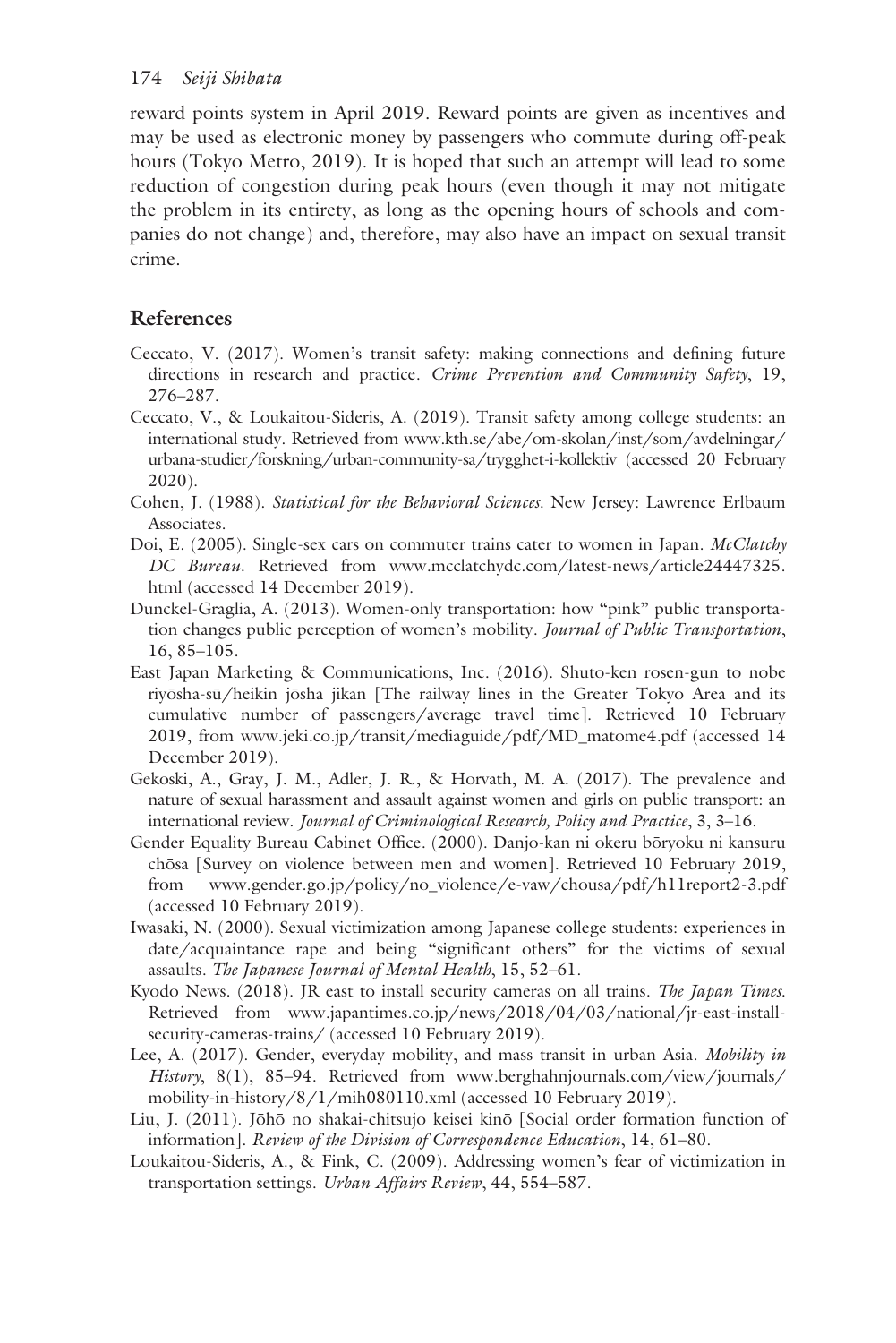reward points system in April 2019. Reward points are given as incentives and may be used as electronic money by passengers who commute during off-peak hours (Tokyo Metro, 2019). It is hoped that such an attempt will lead to some reduction of congestion during peak hours (even though it may not mitigate the problem in its entirety, as long as the opening hours of schools and companies do not change) and, therefore, may also have an impact on sexual transit crime.

# **References**

- Ceccato, V. (2017). Women's transit safety: making connections and defining future directions in research and practice. *Crime Prevention and Community Safety*, 19, 276–287.
- Ceccato, V., & Loukaitou-Sideris, A. (2019). Transit safety among college students: an international study. Retrieved fro[m www.kth.se/abe/om-skolan/inst/som/avdelningar/](www.kth.se) [urbana-studier/forskning/urban-community-sa/trygghet-i-kollektiv](www.kth.se) (accessed 20 February 2020).
- Cohen, J. (1988). *Statistical for the Behavioral Sciences*. New Jersey: Lawrence Erlbaum Associates.
- Doi, E. (2005). Single-sex cars on commuter trains cater to women in Japan. *McClatchy DC Bureau*. Retrieved from [www.mcclatchydc.com/latest-news/article24447325.](www.mcclatchydc.com) [html](www.mcclatchydc.com) (accessed 14 December 2019).
- Dunckel-Graglia, A. (2013). Women-only transportation: how "pink" public transportation changes public perception of women's mobility. *Journal of Public Transportation*, 16, 85–105.
- East Japan Marketing & Communications, Inc. (2016). Shuto-ken rosen-gun to nobe riyōsha-sū/heikin jōsha jikan [The railway lines in the Greater Tokyo Area and its cumulative number of passengers/average travel time]. Retrieved 10 February 2019, from [www.jeki.co.jp/transit/mediaguide/pdf/MD\\_matome4.pdf](www.jeki.co.jp) (accessed 14 December 2019).
- Gekoski, A., Gray, J. M., Adler, J. R., & Horvath, M. A. (2017). The prevalence and nature of sexual harassment and assault against women and girls on public transport: an international review. *Journal of Criminological Research, Policy and Practice*, 3, 3–16.
- Gender Equality Bureau Cabinet Office. (2000). Danjo-kan ni okeru bōryoku ni kansuru chōsa [Survey on violence between men and women]. Retrieved 10 February 2019, from [www.gender.go.jp/policy/no\\_violence/e-vaw/chousa/pdf/h11report2-3.pdf](www.gender.go.jp)  (accessed 10 February 2019).
- Iwasaki, N. (2000). Sexual victimization among Japanese college students: experiences in date/acquaintance rape and being "significant others" for the victims of sexual assaults. *The Japanese Journal of Mental Health*, 15, 52–61.
- Kyodo News. (2018). JR east to install security cameras on all trains. *The Japan Times*. Retrieved from [www.japantimes.co.jp/news/2018/04/03/national/jr-east-install](www.japantimes.co.jp)[security-cameras-trains/](www.japantimes.co.jp) (accessed 10 February 2019).
- Lee, A. (2017). Gender, everyday mobility, and mass transit in urban Asia. *Mobility in History*, 8(1), 85–94. Retrieved from [www.berghahnjournals.com/view/journals/](www.berghahnjournals.com) [mobility-in-history/8/1/mih080110.xml \(](www.berghahnjournals.com)accessed 10 February 2019).
- Liu, J. (2011). Jōhō no shakai-chitsujo keisei kinō [Social order formation function of information]. *Review of the Division of Correspondence Education*, 14, 61–80.
- Loukaitou-Sideris, A., & Fink, C. (2009). Addressing women's fear of victimization in transportation settings. *Urban Affairs Review*, 44, 554–587.